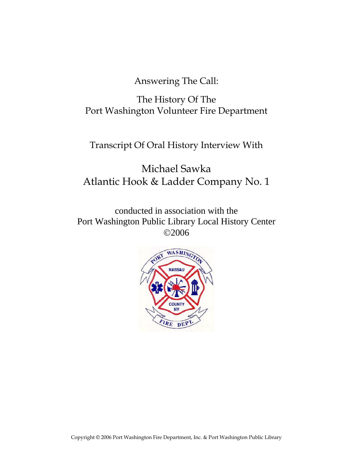Answering The Call:

The History Of The Port Washington Volunteer Fire Department

Transcript Of Oral History Interview With

Michael Sawka Atlantic Hook & Ladder Company No. 1

conducted in association with the Port Washington Public Library Local History Center ©2006

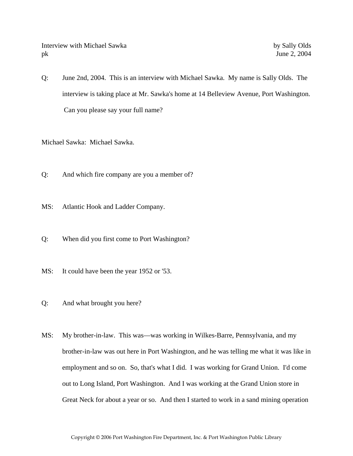Interview with Michael Sawka by Sally Olds pk June 2, 2004

Q: June 2nd, 2004. This is an interview with Michael Sawka. My name is Sally Olds. The interview is taking place at Mr. Sawka's home at 14 Belleview Avenue, Port Washington. Can you please say your full name?

Michael Sawka: Michael Sawka.

- Q: And which fire company are you a member of?
- MS: Atlantic Hook and Ladder Company.
- Q: When did you first come to Port Washington?
- MS: It could have been the year 1952 or '53.
- Q: And what brought you here?
- MS: My brother-in-law. This was—was working in Wilkes-Barre, Pennsylvania, and my brother-in-law was out here in Port Washington, and he was telling me what it was like in employment and so on. So, that's what I did. I was working for Grand Union. I'd come out to Long Island, Port Washington. And I was working at the Grand Union store in Great Neck for about a year or so. And then I started to work in a sand mining operation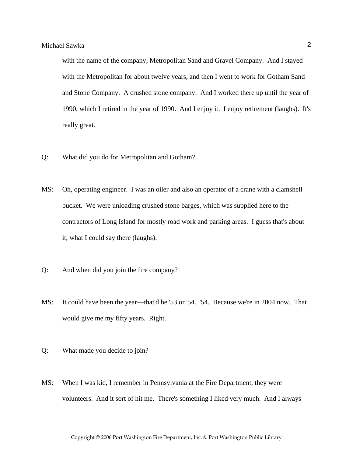with the name of the company, Metropolitan Sand and Gravel Company. And I stayed with the Metropolitan for about twelve years, and then I went to work for Gotham Sand and Stone Company. A crushed stone company. And I worked there up until the year of 1990, which I retired in the year of 1990. And I enjoy it. I enjoy retirement (laughs). It's really great.

- Q: What did you do for Metropolitan and Gotham?
- MS: Oh, operating engineer. I was an oiler and also an operator of a crane with a clamshell bucket. We were unloading crushed stone barges, which was supplied here to the contractors of Long Island for mostly road work and parking areas. I guess that's about it, what I could say there (laughs).
- Q: And when did you join the fire company?
- MS: It could have been the year—that'd be '53 or '54. '54. Because we're in 2004 now. That would give me my fifty years. Right.
- Q: What made you decide to join?
- MS: When I was kid, I remember in Pennsylvania at the Fire Department, they were volunteers. And it sort of hit me. There's something I liked very much. And I always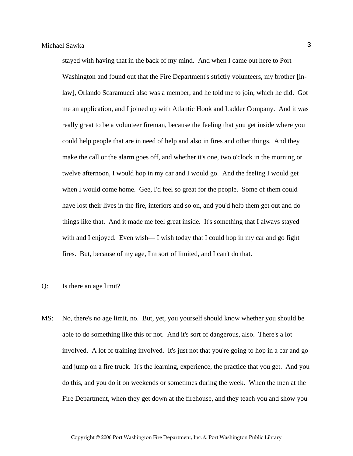stayed with having that in the back of my mind. And when I came out here to Port Washington and found out that the Fire Department's strictly volunteers, my brother [inlaw], Orlando Scaramucci also was a member, and he told me to join, which he did. Got me an application, and I joined up with Atlantic Hook and Ladder Company. And it was really great to be a volunteer fireman, because the feeling that you get inside where you could help people that are in need of help and also in fires and other things. And they make the call or the alarm goes off, and whether it's one, two o'clock in the morning or twelve afternoon, I would hop in my car and I would go. And the feeling I would get when I would come home. Gee, I'd feel so great for the people. Some of them could have lost their lives in the fire, interiors and so on, and you'd help them get out and do things like that. And it made me feel great inside. It's something that I always stayed with and I enjoyed. Even wish— I wish today that I could hop in my car and go fight fires. But, because of my age, I'm sort of limited, and I can't do that.

#### Q: Is there an age limit?

MS: No, there's no age limit, no. But, yet, you yourself should know whether you should be able to do something like this or not. And it's sort of dangerous, also. There's a lot involved. A lot of training involved. It's just not that you're going to hop in a car and go and jump on a fire truck. It's the learning, experience, the practice that you get. And you do this, and you do it on weekends or sometimes during the week. When the men at the Fire Department, when they get down at the firehouse, and they teach you and show you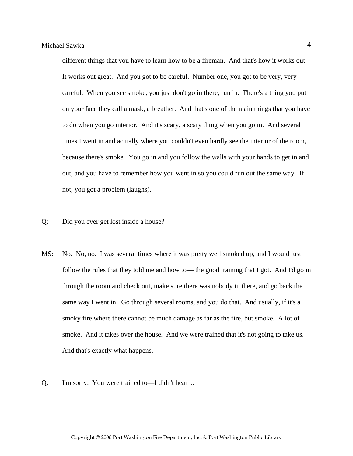different things that you have to learn how to be a fireman. And that's how it works out. It works out great. And you got to be careful. Number one, you got to be very, very careful. When you see smoke, you just don't go in there, run in. There's a thing you put on your face they call a mask, a breather. And that's one of the main things that you have to do when you go interior. And it's scary, a scary thing when you go in. And several times I went in and actually where you couldn't even hardly see the interior of the room, because there's smoke. You go in and you follow the walls with your hands to get in and out, and you have to remember how you went in so you could run out the same way. If not, you got a problem (laughs).

- Q: Did you ever get lost inside a house?
- MS: No. No, no. I was several times where it was pretty well smoked up, and I would just follow the rules that they told me and how to— the good training that I got. And I'd go in through the room and check out, make sure there was nobody in there, and go back the same way I went in. Go through several rooms, and you do that. And usually, if it's a smoky fire where there cannot be much damage as far as the fire, but smoke. A lot of smoke. And it takes over the house. And we were trained that it's not going to take us. And that's exactly what happens.
- Q: I'm sorry. You were trained to—I didn't hear ...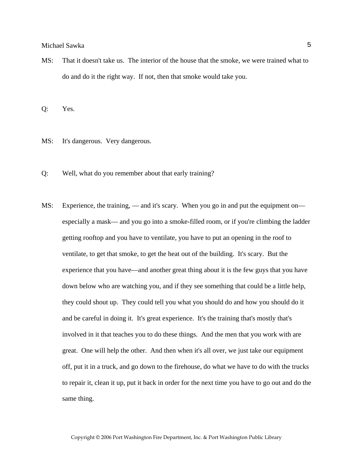MS: That it doesn't take us. The interior of the house that the smoke, we were trained what to do and do it the right way. If not, then that smoke would take you.

Q: Yes.

- MS: It's dangerous. Very dangerous.
- Q: Well, what do you remember about that early training?
- MS: Experience, the training, and it's scary. When you go in and put the equipment on especially a mask— and you go into a smoke-filled room, or if you're climbing the ladder getting rooftop and you have to ventilate, you have to put an opening in the roof to ventilate, to get that smoke, to get the heat out of the building. It's scary. But the experience that you have—and another great thing about it is the few guys that you have down below who are watching you, and if they see something that could be a little help, they could shout up. They could tell you what you should do and how you should do it and be careful in doing it. It's great experience. It's the training that's mostly that's involved in it that teaches you to do these things. And the men that you work with are great. One will help the other. And then when it's all over, we just take our equipment off, put it in a truck, and go down to the firehouse, do what we have to do with the trucks to repair it, clean it up, put it back in order for the next time you have to go out and do the same thing.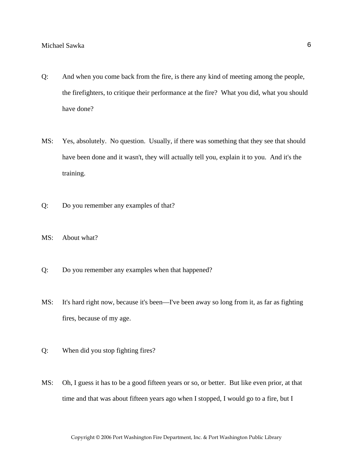- Q: And when you come back from the fire, is there any kind of meeting among the people, the firefighters, to critique their performance at the fire? What you did, what you should have done?
- MS: Yes, absolutely. No question. Usually, if there was something that they see that should have been done and it wasn't, they will actually tell you, explain it to you. And it's the training.
- Q: Do you remember any examples of that?
- MS: About what?
- Q: Do you remember any examples when that happened?
- MS: It's hard right now, because it's been—I've been away so long from it, as far as fighting fires, because of my age.
- Q: When did you stop fighting fires?
- MS: Oh, I guess it has to be a good fifteen years or so, or better. But like even prior, at that time and that was about fifteen years ago when I stopped, I would go to a fire, but I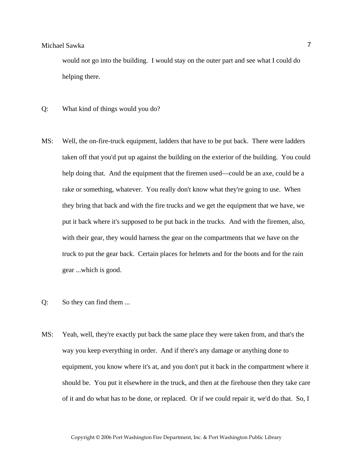would not go into the building. I would stay on the outer part and see what I could do helping there.

- Q: What kind of things would you do?
- MS: Well, the on-fire-truck equipment, ladders that have to be put back. There were ladders taken off that you'd put up against the building on the exterior of the building. You could help doing that. And the equipment that the firemen used—could be an axe, could be a rake or something, whatever. You really don't know what they're going to use. When they bring that back and with the fire trucks and we get the equipment that we have, we put it back where it's supposed to be put back in the trucks. And with the firemen, also, with their gear, they would harness the gear on the compartments that we have on the truck to put the gear back. Certain places for helmets and for the boots and for the rain gear ...which is good.
- Q: So they can find them ...
- MS: Yeah, well, they're exactly put back the same place they were taken from, and that's the way you keep everything in order. And if there's any damage or anything done to equipment, you know where it's at, and you don't put it back in the compartment where it should be. You put it elsewhere in the truck, and then at the firehouse then they take care of it and do what has to be done, or replaced. Or if we could repair it, we'd do that. So, I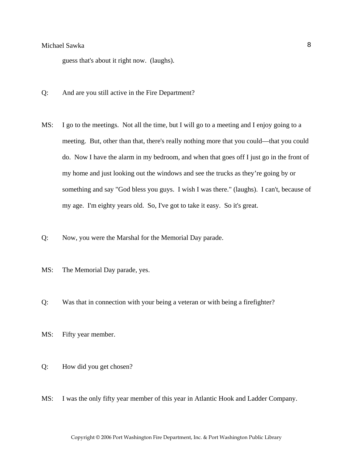guess that's about it right now. (laughs).

- Q: And are you still active in the Fire Department?
- MS: I go to the meetings. Not all the time, but I will go to a meeting and I enjoy going to a meeting. But, other than that, there's really nothing more that you could—that you could do. Now I have the alarm in my bedroom, and when that goes off I just go in the front of my home and just looking out the windows and see the trucks as they're going by or something and say "God bless you guys. I wish I was there." (laughs). I can't, because of my age. I'm eighty years old. So, I've got to take it easy. So it's great.
- Q: Now, you were the Marshal for the Memorial Day parade.
- MS: The Memorial Day parade, yes.
- Q: Was that in connection with your being a veteran or with being a firefighter?
- MS: Fifty year member.
- Q: How did you get chosen?
- MS: I was the only fifty year member of this year in Atlantic Hook and Ladder Company.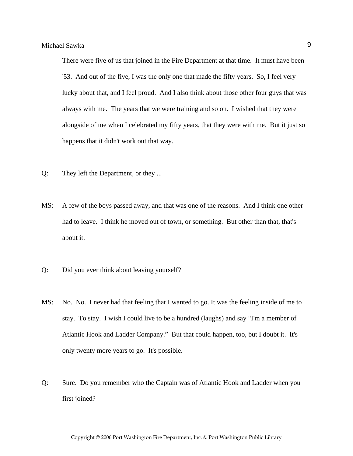There were five of us that joined in the Fire Department at that time. It must have been '53. And out of the five, I was the only one that made the fifty years. So, I feel very lucky about that, and I feel proud. And I also think about those other four guys that was always with me. The years that we were training and so on. I wished that they were alongside of me when I celebrated my fifty years, that they were with me. But it just so happens that it didn't work out that way.

- Q: They left the Department, or they ...
- MS: A few of the boys passed away, and that was one of the reasons. And I think one other had to leave. I think he moved out of town, or something. But other than that, that's about it.
- Q: Did you ever think about leaving yourself?
- MS: No. No. I never had that feeling that I wanted to go. It was the feeling inside of me to stay. To stay. I wish I could live to be a hundred (laughs) and say "I'm a member of Atlantic Hook and Ladder Company." But that could happen, too, but I doubt it. It's only twenty more years to go. It's possible.
- Q: Sure. Do you remember who the Captain was of Atlantic Hook and Ladder when you first joined?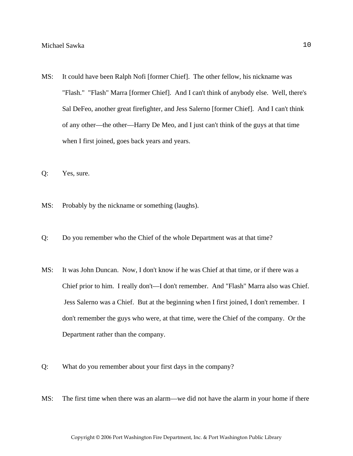- MS: It could have been Ralph Nofi [former Chief]. The other fellow, his nickname was "Flash." "Flash" Marra [former Chief]. And I can't think of anybody else. Well, there's Sal DeFeo, another great firefighter, and Jess Salerno [former Chief]. And I can't think of any other—the other—Harry De Meo, and I just can't think of the guys at that time when I first joined, goes back years and years.
- Q: Yes, sure.
- MS: Probably by the nickname or something (laughs).
- Q: Do you remember who the Chief of the whole Department was at that time?
- MS: It was John Duncan. Now, I don't know if he was Chief at that time, or if there was a Chief prior to him. I really don't—I don't remember. And "Flash" Marra also was Chief. Jess Salerno was a Chief. But at the beginning when I first joined, I don't remember. I don't remember the guys who were, at that time, were the Chief of the company. Or the Department rather than the company.
- Q: What do you remember about your first days in the company?
- MS: The first time when there was an alarm—we did not have the alarm in your home if there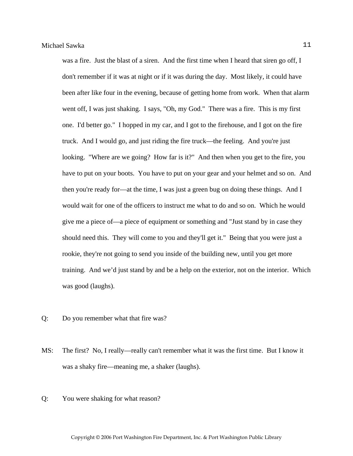was a fire. Just the blast of a siren. And the first time when I heard that siren go off, I don't remember if it was at night or if it was during the day. Most likely, it could have been after like four in the evening, because of getting home from work. When that alarm went off, I was just shaking. I says, "Oh, my God." There was a fire. This is my first one. I'd better go." I hopped in my car, and I got to the firehouse, and I got on the fire truck. And I would go, and just riding the fire truck—the feeling. And you're just looking. "Where are we going? How far is it?" And then when you get to the fire, you have to put on your boots. You have to put on your gear and your helmet and so on. And then you're ready for—at the time, I was just a green bug on doing these things. And I would wait for one of the officers to instruct me what to do and so on. Which he would give me a piece of—a piece of equipment or something and "Just stand by in case they should need this. They will come to you and they'll get it." Being that you were just a rookie, they're not going to send you inside of the building new, until you get more training. And we'd just stand by and be a help on the exterior, not on the interior. Which was good (laughs).

- Q: Do you remember what that fire was?
- MS: The first? No, I really—really can't remember what it was the first time. But I know it was a shaky fire—meaning me, a shaker (laughs).
- Q: You were shaking for what reason?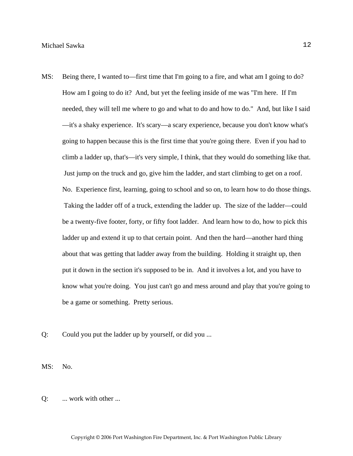- MS: Being there, I wanted to—first time that I'm going to a fire, and what am I going to do? How am I going to do it? And, but yet the feeling inside of me was "I'm here. If I'm needed, they will tell me where to go and what to do and how to do." And, but like I said —it's a shaky experience. It's scary—a scary experience, because you don't know what's going to happen because this is the first time that you're going there. Even if you had to climb a ladder up, that's—it's very simple, I think, that they would do something like that. Just jump on the truck and go, give him the ladder, and start climbing to get on a roof. No. Experience first, learning, going to school and so on, to learn how to do those things. Taking the ladder off of a truck, extending the ladder up. The size of the ladder—could be a twenty-five footer, forty, or fifty foot ladder. And learn how to do, how to pick this ladder up and extend it up to that certain point. And then the hard—another hard thing about that was getting that ladder away from the building. Holding it straight up, then put it down in the section it's supposed to be in. And it involves a lot, and you have to know what you're doing. You just can't go and mess around and play that you're going to be a game or something. Pretty serious.
- Q: Could you put the ladder up by yourself, or did you ...

MS: No.

Q: ... work with other ...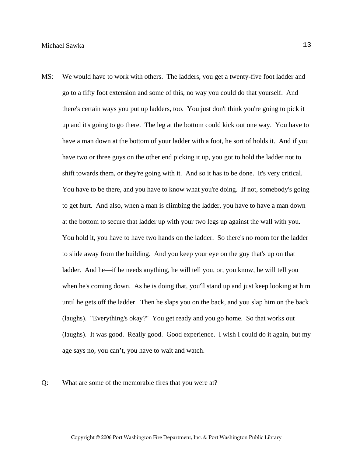MS: We would have to work with others. The ladders, you get a twenty-five foot ladder and go to a fifty foot extension and some of this, no way you could do that yourself. And there's certain ways you put up ladders, too. You just don't think you're going to pick it up and it's going to go there. The leg at the bottom could kick out one way. You have to have a man down at the bottom of your ladder with a foot, he sort of holds it. And if you have two or three guys on the other end picking it up, you got to hold the ladder not to shift towards them, or they're going with it. And so it has to be done. It's very critical. You have to be there, and you have to know what you're doing. If not, somebody's going to get hurt. And also, when a man is climbing the ladder, you have to have a man down at the bottom to secure that ladder up with your two legs up against the wall with you. You hold it, you have to have two hands on the ladder. So there's no room for the ladder to slide away from the building. And you keep your eye on the guy that's up on that ladder. And he—if he needs anything, he will tell you, or, you know, he will tell you when he's coming down. As he is doing that, you'll stand up and just keep looking at him until he gets off the ladder. Then he slaps you on the back, and you slap him on the back (laughs). "Everything's okay?" You get ready and you go home. So that works out (laughs). It was good. Really good. Good experience. I wish I could do it again, but my age says no, you can't, you have to wait and watch.

#### Q: What are some of the memorable fires that you were at?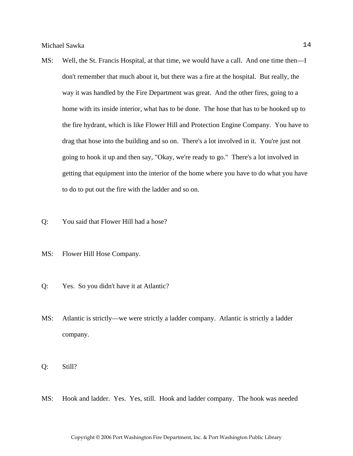- MS: Well, the St. Francis Hospital, at that time, we would have a call. And one time then—I don't remember that much about it, but there was a fire at the hospital. But really, the way it was handled by the Fire Department was great. And the other fires, going to a home with its inside interior, what has to be done. The hose that has to be hooked up to the fire hydrant, which is like Flower Hill and Protection Engine Company. You have to drag that hose into the building and so on. There's a lot involved in it. You're just not going to hook it up and then say, "Okay, we're ready to go." There's a lot involved in getting that equipment into the interior of the home where you have to do what you have to do to put out the fire with the ladder and so on.
- Q: You said that Flower Hill had a hose?
- MS: Flower Hill Hose Company.
- Q: Yes. So you didn't have it at Atlantic?
- MS: Atlantic is strictly—we were strictly a ladder company. Atlantic is strictly a ladder company.
- Q: Still?
- MS: Hook and ladder. Yes. Yes, still. Hook and ladder company. The hook was needed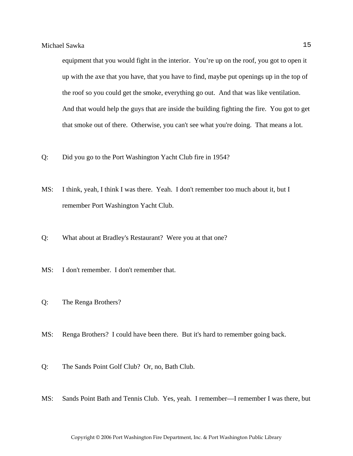equipment that you would fight in the interior. You're up on the roof, you got to open it up with the axe that you have, that you have to find, maybe put openings up in the top of the roof so you could get the smoke, everything go out. And that was like ventilation. And that would help the guys that are inside the building fighting the fire. You got to get that smoke out of there. Otherwise, you can't see what you're doing. That means a lot.

- Q: Did you go to the Port Washington Yacht Club fire in 1954?
- MS: I think, yeah, I think I was there. Yeah. I don't remember too much about it, but I remember Port Washington Yacht Club.
- Q: What about at Bradley's Restaurant? Were you at that one?
- MS: I don't remember. I don't remember that.
- Q: The Renga Brothers?
- MS: Renga Brothers? I could have been there. But it's hard to remember going back.
- Q: The Sands Point Golf Club? Or, no, Bath Club.
- MS: Sands Point Bath and Tennis Club. Yes, yeah. I remember—I remember I was there, but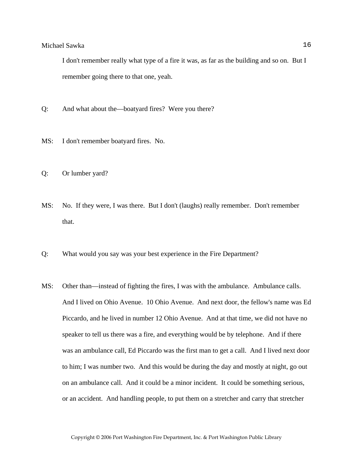I don't remember really what type of a fire it was, as far as the building and so on. But I remember going there to that one, yeah.

- Q: And what about the—boatyard fires? Were you there?
- MS: I don't remember boatyard fires. No.
- Q: Or lumber yard?
- MS: No. If they were, I was there. But I don't (laughs) really remember. Don't remember that.
- Q: What would you say was your best experience in the Fire Department?
- MS: Other than—instead of fighting the fires, I was with the ambulance. Ambulance calls. And I lived on Ohio Avenue. 10 Ohio Avenue. And next door, the fellow's name was Ed Piccardo, and he lived in number 12 Ohio Avenue. And at that time, we did not have no speaker to tell us there was a fire, and everything would be by telephone. And if there was an ambulance call, Ed Piccardo was the first man to get a call. And I lived next door to him; I was number two. And this would be during the day and mostly at night, go out on an ambulance call. And it could be a minor incident. It could be something serious, or an accident. And handling people, to put them on a stretcher and carry that stretcher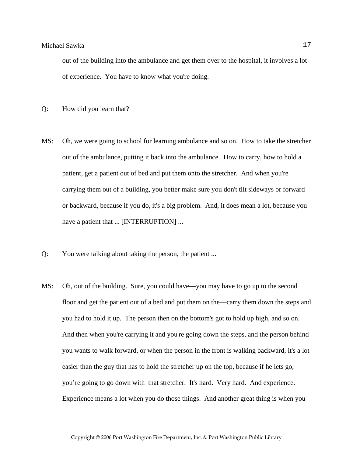out of the building into the ambulance and get them over to the hospital, it involves a lot of experience. You have to know what you're doing.

- Q: How did you learn that?
- MS: Oh, we were going to school for learning ambulance and so on. How to take the stretcher out of the ambulance, putting it back into the ambulance. How to carry, how to hold a patient, get a patient out of bed and put them onto the stretcher. And when you're carrying them out of a building, you better make sure you don't tilt sideways or forward or backward, because if you do, it's a big problem. And, it does mean a lot, because you have a patient that ... [INTERRUPTION] ...
- Q: You were talking about taking the person, the patient ...
- MS: Oh, out of the building. Sure, you could have—you may have to go up to the second floor and get the patient out of a bed and put them on the—carry them down the steps and you had to hold it up. The person then on the bottom's got to hold up high, and so on. And then when you're carrying it and you're going down the steps, and the person behind you wants to walk forward, or when the person in the front is walking backward, it's a lot easier than the guy that has to hold the stretcher up on the top, because if he lets go, you're going to go down with that stretcher. It's hard. Very hard. And experience. Experience means a lot when you do those things. And another great thing is when you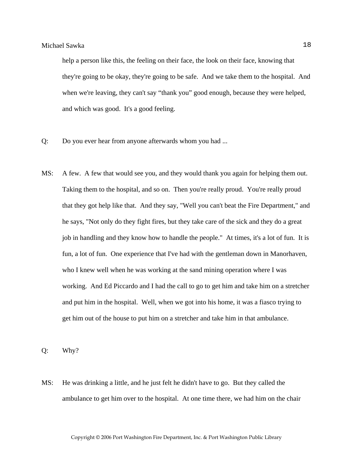help a person like this, the feeling on their face, the look on their face, knowing that they're going to be okay, they're going to be safe. And we take them to the hospital. And when we're leaving, they can't say "thank you" good enough, because they were helped, and which was good. It's a good feeling.

- Q: Do you ever hear from anyone afterwards whom you had ...
- MS: A few. A few that would see you, and they would thank you again for helping them out. Taking them to the hospital, and so on. Then you're really proud. You're really proud that they got help like that. And they say, "Well you can't beat the Fire Department," and he says, "Not only do they fight fires, but they take care of the sick and they do a great job in handling and they know how to handle the people." At times, it's a lot of fun. It is fun, a lot of fun. One experience that I've had with the gentleman down in Manorhaven, who I knew well when he was working at the sand mining operation where I was working. And Ed Piccardo and I had the call to go to get him and take him on a stretcher and put him in the hospital. Well, when we got into his home, it was a fiasco trying to get him out of the house to put him on a stretcher and take him in that ambulance.

Q: Why?

MS: He was drinking a little, and he just felt he didn't have to go. But they called the ambulance to get him over to the hospital. At one time there, we had him on the chair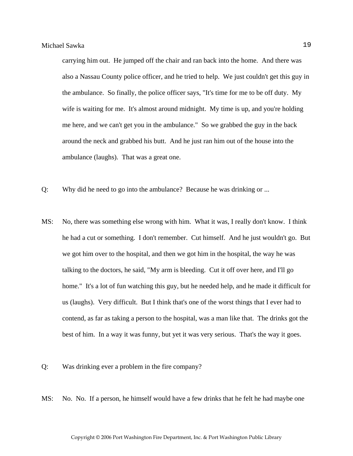carrying him out. He jumped off the chair and ran back into the home. And there was also a Nassau County police officer, and he tried to help. We just couldn't get this guy in the ambulance. So finally, the police officer says, "It's time for me to be off duty. My wife is waiting for me. It's almost around midnight. My time is up, and you're holding me here, and we can't get you in the ambulance." So we grabbed the guy in the back around the neck and grabbed his butt. And he just ran him out of the house into the ambulance (laughs). That was a great one.

- Q: Why did he need to go into the ambulance? Because he was drinking or ...
- MS: No, there was something else wrong with him. What it was, I really don't know. I think he had a cut or something. I don't remember. Cut himself. And he just wouldn't go. But we got him over to the hospital, and then we got him in the hospital, the way he was talking to the doctors, he said, "My arm is bleeding. Cut it off over here, and I'll go home." It's a lot of fun watching this guy, but he needed help, and he made it difficult for us (laughs). Very difficult. But I think that's one of the worst things that I ever had to contend, as far as taking a person to the hospital, was a man like that. The drinks got the best of him. In a way it was funny, but yet it was very serious. That's the way it goes.
- Q: Was drinking ever a problem in the fire company?
- MS: No. No. If a person, he himself would have a few drinks that he felt he had maybe one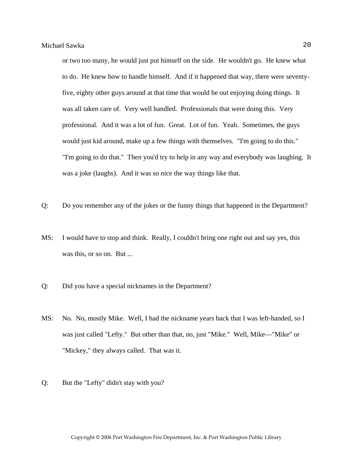or two too many, he would just put himself on the side. He wouldn't go. He knew what to do. He knew how to handle himself. And if it happened that way, there were seventyfive, eighty other guys around at that time that would be out enjoying doing things. It was all taken care of. Very well handled. Professionals that were doing this. Very professional. And it was a lot of fun. Great. Lot of fun. Yeah. Sometimes, the guys would just kid around, make up a few things with themselves. "I'm going to do this." "I'm going to do that." Then you'd try to help in any way and everybody was laughing. It was a joke (laughs). And it was so nice the way things like that.

- Q: Do you remember any of the jokes or the funny things that happened in the Department?
- MS: I would have to stop and think. Really, I couldn't bring one right out and say yes, this was this, or so on. But ...
- Q: Did you have a special nicknames in the Department?
- MS: No. No, mostly Mike. Well, I had the nickname years back that I was left-handed, so I was just called "Lefty." But other than that, no, just "Mike." Well, Mike—"Mike" or "Mickey," they always called. That was it.
- Q: But the "Lefty" didn't stay with you?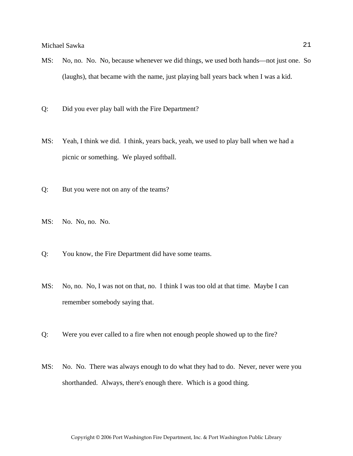- MS: No, no. No. No, because whenever we did things, we used both hands—not just one. So (laughs), that became with the name, just playing ball years back when I was a kid.
- Q: Did you ever play ball with the Fire Department?
- MS: Yeah, I think we did. I think, years back, yeah, we used to play ball when we had a picnic or something. We played softball.
- Q: But you were not on any of the teams?
- MS: No. No, no. No.
- Q: You know, the Fire Department did have some teams.
- MS: No, no. No, I was not on that, no. I think I was too old at that time. Maybe I can remember somebody saying that.
- Q: Were you ever called to a fire when not enough people showed up to the fire?
- MS: No. No. There was always enough to do what they had to do. Never, never were you shorthanded. Always, there's enough there. Which is a good thing.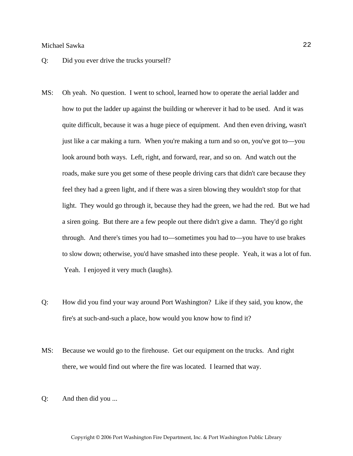- Q: Did you ever drive the trucks yourself?
- MS: Oh yeah. No question. I went to school, learned how to operate the aerial ladder and how to put the ladder up against the building or wherever it had to be used. And it was quite difficult, because it was a huge piece of equipment. And then even driving, wasn't just like a car making a turn. When you're making a turn and so on, you've got to—you look around both ways. Left, right, and forward, rear, and so on. And watch out the roads, make sure you get some of these people driving cars that didn't care because they feel they had a green light, and if there was a siren blowing they wouldn't stop for that light. They would go through it, because they had the green, we had the red. But we had a siren going. But there are a few people out there didn't give a damn. They'd go right through. And there's times you had to—sometimes you had to—you have to use brakes to slow down; otherwise, you'd have smashed into these people. Yeah, it was a lot of fun. Yeah. I enjoyed it very much (laughs).
- Q: How did you find your way around Port Washington? Like if they said, you know, the fire's at such-and-such a place, how would you know how to find it?
- MS: Because we would go to the firehouse. Get our equipment on the trucks. And right there, we would find out where the fire was located. I learned that way.
- Q: And then did you ...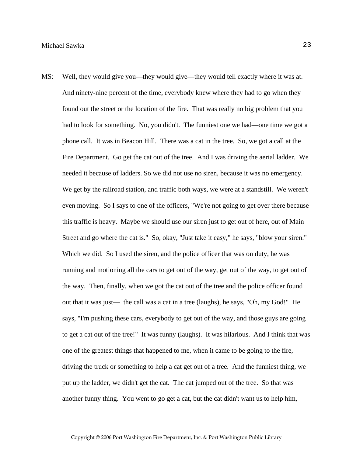MS: Well, they would give you—they would give—they would tell exactly where it was at. And ninety-nine percent of the time, everybody knew where they had to go when they found out the street or the location of the fire. That was really no big problem that you had to look for something. No, you didn't. The funniest one we had—one time we got a phone call. It was in Beacon Hill. There was a cat in the tree. So, we got a call at the Fire Department. Go get the cat out of the tree. And I was driving the aerial ladder. We needed it because of ladders. So we did not use no siren, because it was no emergency. We get by the railroad station, and traffic both ways, we were at a standstill. We weren't even moving. So I says to one of the officers, "We're not going to get over there because this traffic is heavy. Maybe we should use our siren just to get out of here, out of Main Street and go where the cat is." So, okay, "Just take it easy," he says, "blow your siren." Which we did. So I used the siren, and the police officer that was on duty, he was running and motioning all the cars to get out of the way, get out of the way, to get out of the way. Then, finally, when we got the cat out of the tree and the police officer found out that it was just— the call was a cat in a tree (laughs), he says, "Oh, my God!" He says, "I'm pushing these cars, everybody to get out of the way, and those guys are going to get a cat out of the tree!" It was funny (laughs). It was hilarious. And I think that was one of the greatest things that happened to me, when it came to be going to the fire, driving the truck or something to help a cat get out of a tree. And the funniest thing, we put up the ladder, we didn't get the cat. The cat jumped out of the tree. So that was another funny thing. You went to go get a cat, but the cat didn't want us to help him,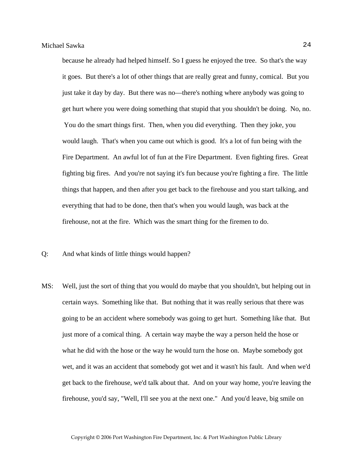because he already had helped himself. So I guess he enjoyed the tree. So that's the way it goes. But there's a lot of other things that are really great and funny, comical. But you just take it day by day. But there was no—there's nothing where anybody was going to get hurt where you were doing something that stupid that you shouldn't be doing. No, no. You do the smart things first. Then, when you did everything. Then they joke, you would laugh. That's when you came out which is good. It's a lot of fun being with the Fire Department. An awful lot of fun at the Fire Department. Even fighting fires. Great fighting big fires. And you're not saying it's fun because you're fighting a fire. The little things that happen, and then after you get back to the firehouse and you start talking, and everything that had to be done, then that's when you would laugh, was back at the firehouse, not at the fire. Which was the smart thing for the firemen to do.

Q: And what kinds of little things would happen?

MS: Well, just the sort of thing that you would do maybe that you shouldn't, but helping out in certain ways. Something like that. But nothing that it was really serious that there was going to be an accident where somebody was going to get hurt. Something like that. But just more of a comical thing. A certain way maybe the way a person held the hose or what he did with the hose or the way he would turn the hose on. Maybe somebody got wet, and it was an accident that somebody got wet and it wasn't his fault. And when we'd get back to the firehouse, we'd talk about that. And on your way home, you're leaving the firehouse, you'd say, "Well, I'll see you at the next one." And you'd leave, big smile on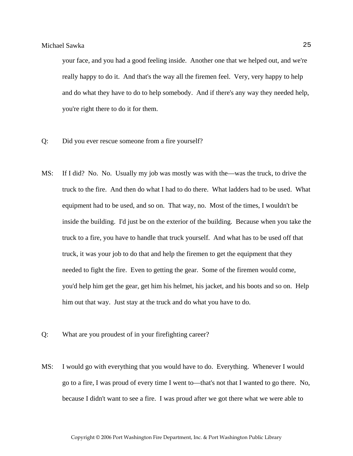your face, and you had a good feeling inside. Another one that we helped out, and we're really happy to do it. And that's the way all the firemen feel. Very, very happy to help and do what they have to do to help somebody. And if there's any way they needed help, you're right there to do it for them.

- Q: Did you ever rescue someone from a fire yourself?
- MS: If I did? No. No. Usually my job was mostly was with the—was the truck, to drive the truck to the fire. And then do what I had to do there. What ladders had to be used. What equipment had to be used, and so on. That way, no. Most of the times, I wouldn't be inside the building. I'd just be on the exterior of the building. Because when you take the truck to a fire, you have to handle that truck yourself. And what has to be used off that truck, it was your job to do that and help the firemen to get the equipment that they needed to fight the fire. Even to getting the gear. Some of the firemen would come, you'd help him get the gear, get him his helmet, his jacket, and his boots and so on. Help him out that way. Just stay at the truck and do what you have to do.
- Q: What are you proudest of in your firefighting career?
- MS: I would go with everything that you would have to do. Everything. Whenever I would go to a fire, I was proud of every time I went to—that's not that I wanted to go there. No, because I didn't want to see a fire. I was proud after we got there what we were able to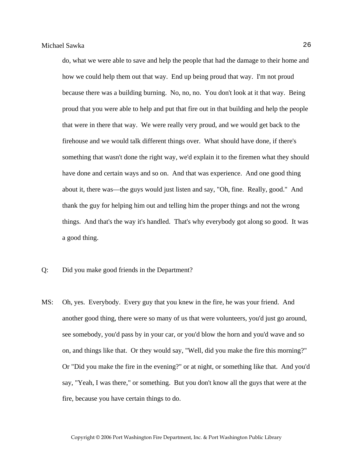do, what we were able to save and help the people that had the damage to their home and how we could help them out that way. End up being proud that way. I'm not proud because there was a building burning. No, no, no. You don't look at it that way. Being proud that you were able to help and put that fire out in that building and help the people that were in there that way. We were really very proud, and we would get back to the firehouse and we would talk different things over. What should have done, if there's something that wasn't done the right way, we'd explain it to the firemen what they should have done and certain ways and so on. And that was experience. And one good thing about it, there was—the guys would just listen and say, "Oh, fine. Really, good." And thank the guy for helping him out and telling him the proper things and not the wrong things. And that's the way it's handled. That's why everybody got along so good. It was a good thing.

- Q: Did you make good friends in the Department?
- MS: Oh, yes. Everybody. Every guy that you knew in the fire, he was your friend. And another good thing, there were so many of us that were volunteers, you'd just go around, see somebody, you'd pass by in your car, or you'd blow the horn and you'd wave and so on, and things like that. Or they would say, "Well, did you make the fire this morning?" Or "Did you make the fire in the evening?" or at night, or something like that. And you'd say, "Yeah, I was there," or something. But you don't know all the guys that were at the fire, because you have certain things to do.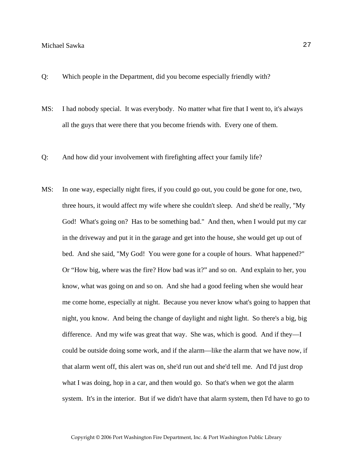- Q: Which people in the Department, did you become especially friendly with?
- MS: I had nobody special. It was everybody. No matter what fire that I went to, it's always all the guys that were there that you become friends with. Every one of them.
- Q: And how did your involvement with firefighting affect your family life?
- MS: In one way, especially night fires, if you could go out, you could be gone for one, two, three hours, it would affect my wife where she couldn't sleep. And she'd be really, "My God! What's going on? Has to be something bad." And then, when I would put my car in the driveway and put it in the garage and get into the house, she would get up out of bed. And she said, "My God! You were gone for a couple of hours. What happened?" Or "How big, where was the fire? How bad was it?" and so on. And explain to her, you know, what was going on and so on. And she had a good feeling when she would hear me come home, especially at night. Because you never know what's going to happen that night, you know. And being the change of daylight and night light. So there's a big, big difference. And my wife was great that way. She was, which is good. And if they—I could be outside doing some work, and if the alarm—like the alarm that we have now, if that alarm went off, this alert was on, she'd run out and she'd tell me. And I'd just drop what I was doing, hop in a car, and then would go. So that's when we got the alarm system. It's in the interior. But if we didn't have that alarm system, then I'd have to go to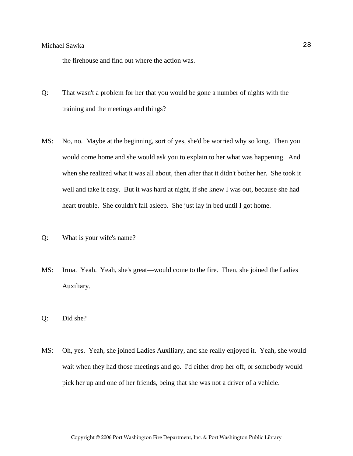the firehouse and find out where the action was.

- Q: That wasn't a problem for her that you would be gone a number of nights with the training and the meetings and things?
- MS: No, no. Maybe at the beginning, sort of yes, she'd be worried why so long. Then you would come home and she would ask you to explain to her what was happening. And when she realized what it was all about, then after that it didn't bother her. She took it well and take it easy. But it was hard at night, if she knew I was out, because she had heart trouble. She couldn't fall asleep. She just lay in bed until I got home.
- Q: What is your wife's name?
- MS: Irma. Yeah. Yeah, she's great—would come to the fire. Then, she joined the Ladies Auxiliary.
- Q: Did she?
- MS: Oh, yes. Yeah, she joined Ladies Auxiliary, and she really enjoyed it. Yeah, she would wait when they had those meetings and go. I'd either drop her off, or somebody would pick her up and one of her friends, being that she was not a driver of a vehicle.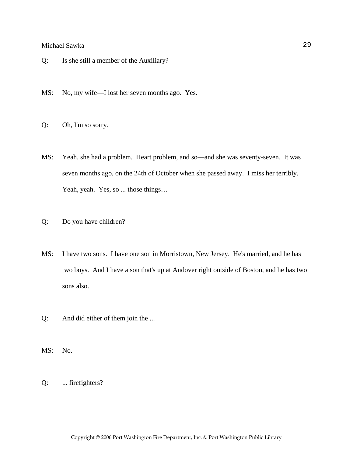- Q: Is she still a member of the Auxiliary?
- MS: No, my wife—I lost her seven months ago. Yes.
- Q: Oh, I'm so sorry.
- MS: Yeah, she had a problem. Heart problem, and so—and she was seventy-seven. It was seven months ago, on the 24th of October when she passed away. I miss her terribly. Yeah, yeah. Yes, so ... those things...
- Q: Do you have children?
- MS: I have two sons. I have one son in Morristown, New Jersey. He's married, and he has two boys. And I have a son that's up at Andover right outside of Boston, and he has two sons also.
- Q: And did either of them join the ...
- MS: No.
- Q: ... firefighters?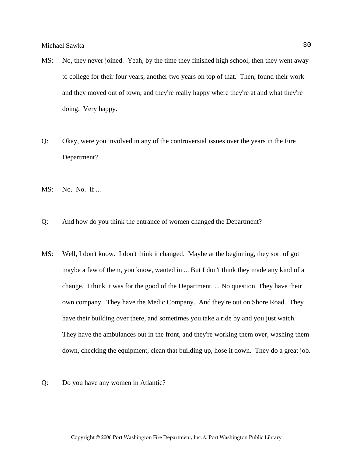- MS: No, they never joined. Yeah, by the time they finished high school, then they went away to college for their four years, another two years on top of that. Then, found their work and they moved out of town, and they're really happy where they're at and what they're doing. Very happy.
- Q: Okay, were you involved in any of the controversial issues over the years in the Fire Department?
- MS: No. No. If ...
- Q: And how do you think the entrance of women changed the Department?
- MS: Well, I don't know. I don't think it changed. Maybe at the beginning, they sort of got maybe a few of them, you know, wanted in ... But I don't think they made any kind of a change. I think it was for the good of the Department. ... No question. They have their own company. They have the Medic Company. And they're out on Shore Road. They have their building over there, and sometimes you take a ride by and you just watch. They have the ambulances out in the front, and they're working them over, washing them down, checking the equipment, clean that building up, hose it down. They do a great job.
- Q: Do you have any women in Atlantic?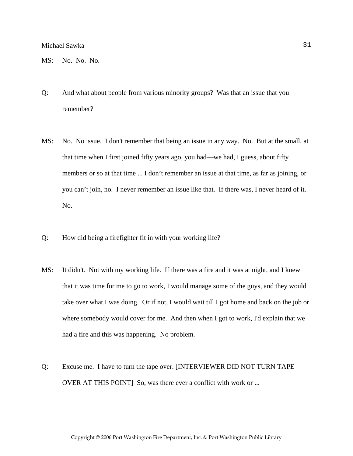MS: No. No. No.

- Q: And what about people from various minority groups? Was that an issue that you remember?
- MS: No. No issue. I don't remember that being an issue in any way. No. But at the small, at that time when I first joined fifty years ago, you had—we had, I guess, about fifty members or so at that time ... I don't remember an issue at that time, as far as joining, or you can't join, no. I never remember an issue like that. If there was, I never heard of it. No.
- Q: How did being a firefighter fit in with your working life?
- MS: It didn't. Not with my working life. If there was a fire and it was at night, and I knew that it was time for me to go to work, I would manage some of the guys, and they would take over what I was doing. Or if not, I would wait till I got home and back on the job or where somebody would cover for me. And then when I got to work, I'd explain that we had a fire and this was happening. No problem.
- Q: Excuse me. I have to turn the tape over. [INTERVIEWER DID NOT TURN TAPE OVER AT THIS POINT] So, was there ever a conflict with work or ...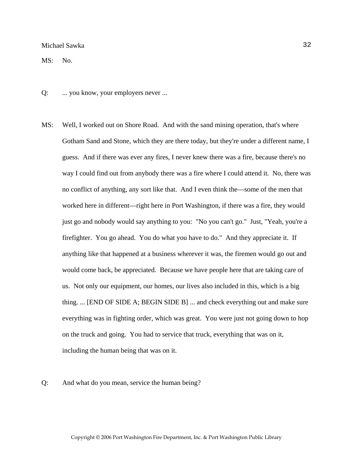MS: No.

- Q: ... you know, your employers never ...
- MS: Well, I worked out on Shore Road. And with the sand mining operation, that's where Gotham Sand and Stone, which they are there today, but they're under a different name, I guess. And if there was ever any fires, I never knew there was a fire, because there's no way I could find out from anybody there was a fire where I could attend it. No, there was no conflict of anything, any sort like that. And I even think the—some of the men that worked here in different—right here in Port Washington, if there was a fire, they would just go and nobody would say anything to you: "No you can't go." Just, "Yeah, you're a firefighter. You go ahead. You do what you have to do." And they appreciate it. If anything like that happened at a business wherever it was, the firemen would go out and would come back, be appreciated. Because we have people here that are taking care of us. Not only our equipment, our homes, our lives also included in this, which is a big thing. ... [END OF SIDE A; BEGIN SIDE B] ... and check everything out and make sure everything was in fighting order, which was great. You were just not going down to hop on the truck and going. You had to service that truck, everything that was on it, including the human being that was on it.

### Q: And what do you mean, service the human being?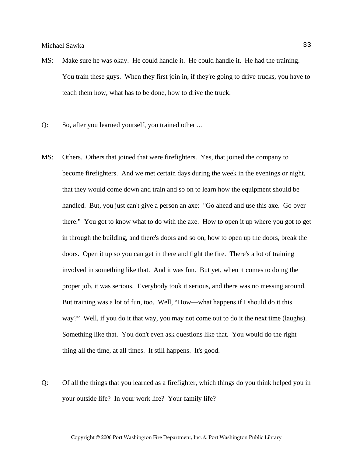- MS: Make sure he was okay. He could handle it. He could handle it. He had the training. You train these guys. When they first join in, if they're going to drive trucks, you have to teach them how, what has to be done, how to drive the truck.
- Q: So, after you learned yourself, you trained other ...
- MS: Others. Others that joined that were firefighters. Yes, that joined the company to become firefighters. And we met certain days during the week in the evenings or night, that they would come down and train and so on to learn how the equipment should be handled. But, you just can't give a person an axe: "Go ahead and use this axe. Go over there." You got to know what to do with the axe. How to open it up where you got to get in through the building, and there's doors and so on, how to open up the doors, break the doors. Open it up so you can get in there and fight the fire. There's a lot of training involved in something like that. And it was fun. But yet, when it comes to doing the proper job, it was serious. Everybody took it serious, and there was no messing around. But training was a lot of fun, too. Well, "How—what happens if I should do it this way?" Well, if you do it that way, you may not come out to do it the next time (laughs). Something like that. You don't even ask questions like that. You would do the right thing all the time, at all times. It still happens. It's good.
- Q: Of all the things that you learned as a firefighter, which things do you think helped you in your outside life? In your work life? Your family life?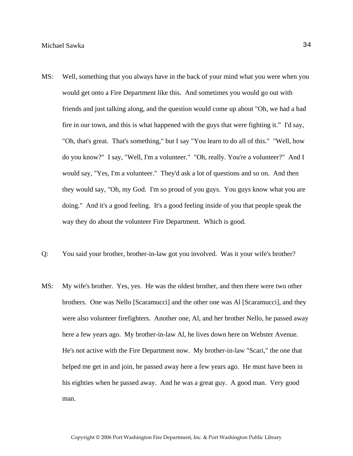- MS: Well, something that you always have in the back of your mind what you were when you would get onto a Fire Department like this. And sometimes you would go out with friends and just talking along, and the question would come up about "Oh, we had a bad fire in our town, and this is what happened with the guys that were fighting it." I'd say, "Oh, that's great. That's something," but I say "You learn to do all of this." "Well, how do you know?" I say, "Well, I'm a volunteer." "Oh, really. You're a volunteer?" And I would say, "Yes, I'm a volunteer." They'd ask a lot of questions and so on. And then they would say, "Oh, my God. I'm so proud of you guys. You guys know what you are doing." And it's a good feeling. It's a good feeling inside of you that people speak the way they do about the volunteer Fire Department. Which is good.
- Q: You said your brother, brother-in-law got you involved. Was it your wife's brother?
- MS: My wife's brother. Yes, yes. He was the oldest brother, and then there were two other brothers. One was Nello [Scaramucci] and the other one was Al [Scaramucci], and they were also volunteer firefighters. Another one, Al, and her brother Nello, he passed away here a few years ago. My brother-in-law Al, he lives down here on Webster Avenue. He's not active with the Fire Department now. My brother-in-law "Scari," the one that helped me get in and join, he passed away here a few years ago. He must have been in his eighties when he passed away. And he was a great guy. A good man. Very good man.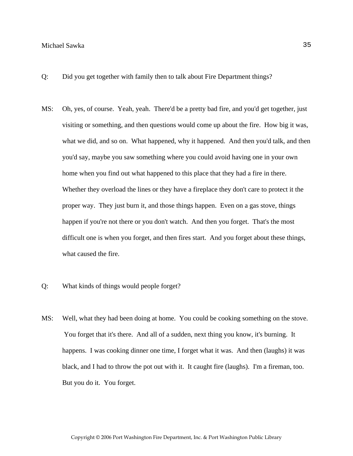- Q: Did you get together with family then to talk about Fire Department things?
- MS: Oh, yes, of course. Yeah, yeah. There'd be a pretty bad fire, and you'd get together, just visiting or something, and then questions would come up about the fire. How big it was, what we did, and so on. What happened, why it happened. And then you'd talk, and then you'd say, maybe you saw something where you could avoid having one in your own home when you find out what happened to this place that they had a fire in there. Whether they overload the lines or they have a fireplace they don't care to protect it the proper way. They just burn it, and those things happen. Even on a gas stove, things happen if you're not there or you don't watch. And then you forget. That's the most difficult one is when you forget, and then fires start. And you forget about these things, what caused the fire.
- Q: What kinds of things would people forget?
- MS: Well, what they had been doing at home. You could be cooking something on the stove. You forget that it's there. And all of a sudden, next thing you know, it's burning. It happens. I was cooking dinner one time, I forget what it was. And then (laughs) it was black, and I had to throw the pot out with it. It caught fire (laughs). I'm a fireman, too. But you do it. You forget.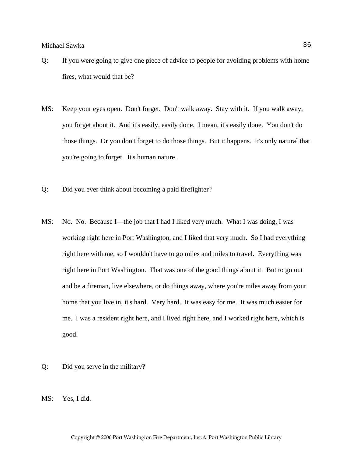- Q: If you were going to give one piece of advice to people for avoiding problems with home fires, what would that be?
- MS: Keep your eyes open. Don't forget. Don't walk away. Stay with it. If you walk away, you forget about it. And it's easily, easily done. I mean, it's easily done. You don't do those things. Or you don't forget to do those things. But it happens. It's only natural that you're going to forget. It's human nature.
- Q: Did you ever think about becoming a paid firefighter?
- MS: No. No. Because I—the job that I had I liked very much. What I was doing, I was working right here in Port Washington, and I liked that very much. So I had everything right here with me, so I wouldn't have to go miles and miles to travel. Everything was right here in Port Washington. That was one of the good things about it. But to go out and be a fireman, live elsewhere, or do things away, where you're miles away from your home that you live in, it's hard. Very hard. It was easy for me. It was much easier for me. I was a resident right here, and I lived right here, and I worked right here, which is good.
- Q: Did you serve in the military?
- MS: Yes, I did.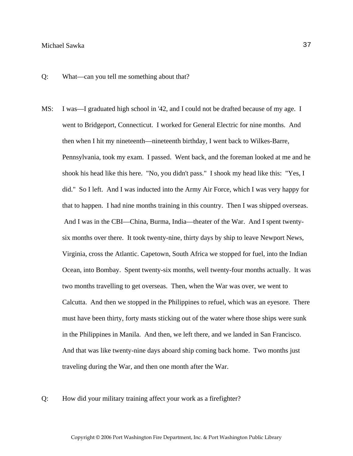Q: What—can you tell me something about that?

- MS: I was—I graduated high school in '42, and I could not be drafted because of my age. I went to Bridgeport, Connecticut. I worked for General Electric for nine months. And then when I hit my nineteenth—nineteenth birthday, I went back to Wilkes-Barre, Pennsylvania, took my exam. I passed. Went back, and the foreman looked at me and he shook his head like this here. "No, you didn't pass." I shook my head like this: "Yes, I did." So I left. And I was inducted into the Army Air Force, which I was very happy for that to happen. I had nine months training in this country. Then I was shipped overseas. And I was in the CBI—China, Burma, India—theater of the War. And I spent twentysix months over there. It took twenty-nine, thirty days by ship to leave Newport News, Virginia, cross the Atlantic. Capetown, South Africa we stopped for fuel, into the Indian Ocean, into Bombay. Spent twenty-six months, well twenty-four months actually. It was two months travelling to get overseas. Then, when the War was over, we went to Calcutta. And then we stopped in the Philippines to refuel, which was an eyesore. There must have been thirty, forty masts sticking out of the water where those ships were sunk in the Philippines in Manila. And then, we left there, and we landed in San Francisco. And that was like twenty-nine days aboard ship coming back home. Two months just traveling during the War, and then one month after the War.
- Q: How did your military training affect your work as a firefighter?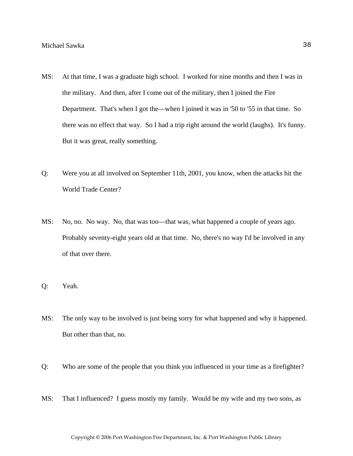- MS: At that time, I was a graduate high school. I worked for nine months and then I was in the military. And then, after I come out of the military, then I joined the Fire Department. That's when I got the—when I joined it was in '50 to '55 in that time. So there was no effect that way. So I had a trip right around the world (laughs). It's funny. But it was great, really something.
- Q: Were you at all involved on September 11th, 2001, you know, when the attacks hit the World Trade Center?
- MS: No, no. No way. No, that was too—that was, what happened a couple of years ago. Probably seventy-eight years old at that time. No, there's no way I'd be involved in any of that over there.
- Q: Yeah.
- MS: The only way to be involved is just being sorry for what happened and why it happened. But other than that, no.
- Q: Who are some of the people that you think you influenced in your time as a firefighter?
- MS: That I influenced? I guess mostly my family. Would be my wife and my two sons, as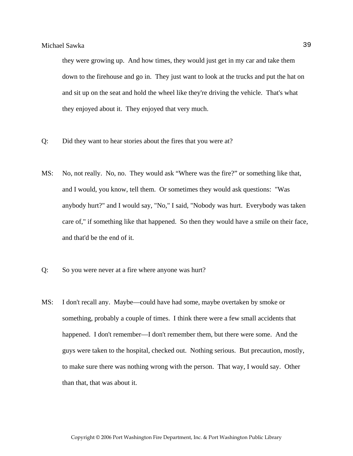they were growing up. And how times, they would just get in my car and take them down to the firehouse and go in. They just want to look at the trucks and put the hat on and sit up on the seat and hold the wheel like they're driving the vehicle. That's what they enjoyed about it. They enjoyed that very much.

- Q: Did they want to hear stories about the fires that you were at?
- MS: No, not really. No, no. They would ask "Where was the fire?" or something like that, and I would, you know, tell them. Or sometimes they would ask questions: "Was anybody hurt?" and I would say, "No," I said, "Nobody was hurt. Everybody was taken care of," if something like that happened. So then they would have a smile on their face, and that'd be the end of it.
- Q: So you were never at a fire where anyone was hurt?
- MS: I don't recall any. Maybe—could have had some, maybe overtaken by smoke or something, probably a couple of times. I think there were a few small accidents that happened. I don't remember—I don't remember them, but there were some. And the guys were taken to the hospital, checked out. Nothing serious. But precaution, mostly, to make sure there was nothing wrong with the person. That way, I would say. Other than that, that was about it.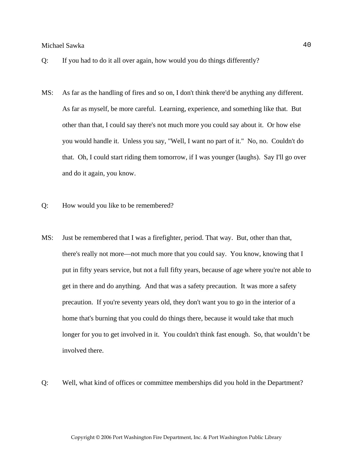- Q: If you had to do it all over again, how would you do things differently?
- MS: As far as the handling of fires and so on, I don't think there'd be anything any different. As far as myself, be more careful. Learning, experience, and something like that. But other than that, I could say there's not much more you could say about it. Or how else you would handle it. Unless you say, "Well, I want no part of it." No, no. Couldn't do that. Oh, I could start riding them tomorrow, if I was younger (laughs). Say I'll go over and do it again, you know.
- Q: How would you like to be remembered?
- MS: Just be remembered that I was a firefighter, period. That way. But, other than that, there's really not more—not much more that you could say. You know, knowing that I put in fifty years service, but not a full fifty years, because of age where you're not able to get in there and do anything. And that was a safety precaution. It was more a safety precaution. If you're seventy years old, they don't want you to go in the interior of a home that's burning that you could do things there, because it would take that much longer for you to get involved in it. You couldn't think fast enough. So, that wouldn't be involved there.
- Q: Well, what kind of offices or committee memberships did you hold in the Department?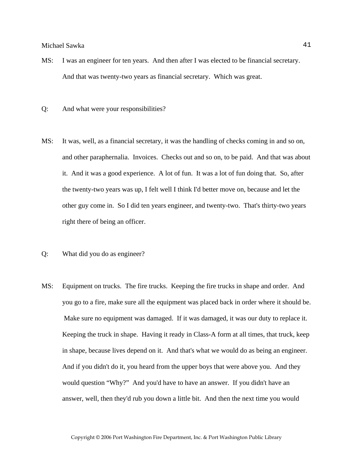- MS: I was an engineer for ten years. And then after I was elected to be financial secretary. And that was twenty-two years as financial secretary. Which was great.
- Q: And what were your responsibilities?
- MS: It was, well, as a financial secretary, it was the handling of checks coming in and so on, and other paraphernalia. Invoices. Checks out and so on, to be paid. And that was about it. And it was a good experience. A lot of fun. It was a lot of fun doing that. So, after the twenty-two years was up, I felt well I think I'd better move on, because and let the other guy come in. So I did ten years engineer, and twenty-two. That's thirty-two years right there of being an officer.
- Q: What did you do as engineer?
- MS: Equipment on trucks. The fire trucks. Keeping the fire trucks in shape and order. And you go to a fire, make sure all the equipment was placed back in order where it should be. Make sure no equipment was damaged. If it was damaged, it was our duty to replace it. Keeping the truck in shape. Having it ready in Class-A form at all times, that truck, keep in shape, because lives depend on it. And that's what we would do as being an engineer. And if you didn't do it, you heard from the upper boys that were above you. And they would question "Why?" And you'd have to have an answer. If you didn't have an answer, well, then they'd rub you down a little bit. And then the next time you would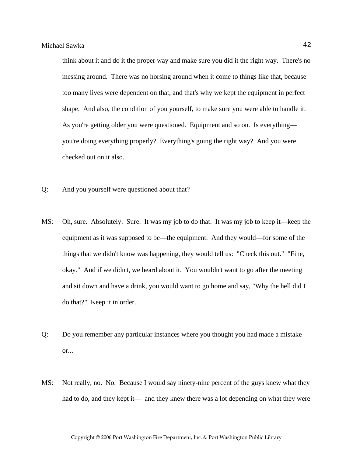think about it and do it the proper way and make sure you did it the right way. There's no messing around. There was no horsing around when it come to things like that, because too many lives were dependent on that, and that's why we kept the equipment in perfect shape. And also, the condition of you yourself, to make sure you were able to handle it. As you're getting older you were questioned. Equipment and so on. Is everything you're doing everything properly? Everything's going the right way? And you were checked out on it also.

- Q: And you yourself were questioned about that?
- MS: Oh, sure. Absolutely. Sure. It was my job to do that. It was my job to keep it—keep the equipment as it was supposed to be—the equipment. And they would—for some of the things that we didn't know was happening, they would tell us: "Check this out." "Fine, okay." And if we didn't, we heard about it. You wouldn't want to go after the meeting and sit down and have a drink, you would want to go home and say, "Why the hell did I do that?" Keep it in order.
- Q: Do you remember any particular instances where you thought you had made a mistake or...
- MS: Not really, no. No. Because I would say ninety-nine percent of the guys knew what they had to do, and they kept it— and they knew there was a lot depending on what they were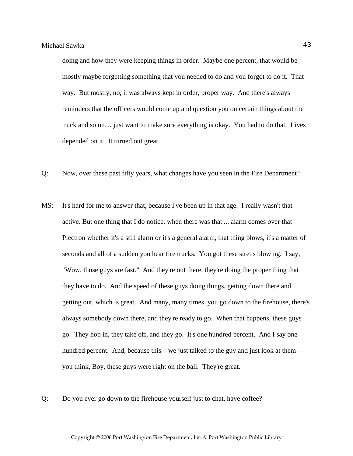doing and how they were keeping things in order. Maybe one percent, that would be mostly maybe forgetting something that you needed to do and you forgot to do it. That way. But mostly, no, it was always kept in order, proper way. And there's always reminders that the officers would come up and question you on certain things about the truck and so on… just want to make sure everything is okay. You had to do that. Lives depended on it. It turned out great.

- Q: Now, over these past fifty years, what changes have you seen in the Fire Department?
- MS: It's hard for me to answer that, because I've been up in that age. I really wasn't that active. But one thing that I do notice, when there was that ... alarm comes over that Plectron whether it's a still alarm or it's a general alarm, that thing blows, it's a matter of seconds and all of a sudden you hear fire trucks. You got these sirens blowing. I say, "Wow, those guys are fast." And they're out there, they're doing the proper thing that they have to do. And the speed of these guys doing things, getting down there and getting out, which is great. And many, many times, you go down to the firehouse, there's always somebody down there, and they're ready to go. When that happens, these guys go. They hop in, they take off, and they go. It's one hundred percent. And I say one hundred percent. And, because this—we just talked to the guy and just look at them you think, Boy, these guys were right on the ball. They're great.
- Q: Do you ever go down to the firehouse yourself just to chat, have coffee?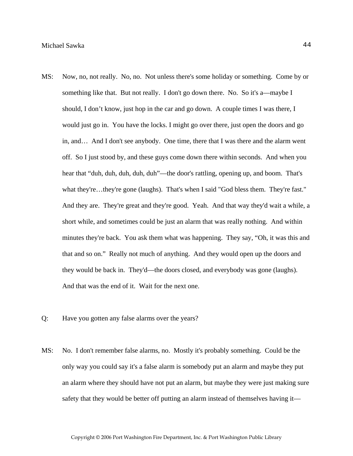- MS: Now, no, not really. No, no. Not unless there's some holiday or something. Come by or something like that. But not really. I don't go down there. No. So it's a—maybe I should, I don't know, just hop in the car and go down. A couple times I was there, I would just go in. You have the locks. I might go over there, just open the doors and go in, and… And I don't see anybody. One time, there that I was there and the alarm went off. So I just stood by, and these guys come down there within seconds. And when you hear that "duh, duh, duh, duh, duh"—the door's rattling, opening up, and boom. That's what they're…they're gone (laughs). That's when I said "God bless them. They're fast." And they are. They're great and they're good. Yeah. And that way they'd wait a while, a short while, and sometimes could be just an alarm that was really nothing. And within minutes they're back. You ask them what was happening. They say, "Oh, it was this and that and so on." Really not much of anything. And they would open up the doors and they would be back in. They'd—the doors closed, and everybody was gone (laughs). And that was the end of it. Wait for the next one.
- Q: Have you gotten any false alarms over the years?
- MS: No. I don't remember false alarms, no. Mostly it's probably something. Could be the only way you could say it's a false alarm is somebody put an alarm and maybe they put an alarm where they should have not put an alarm, but maybe they were just making sure safety that they would be better off putting an alarm instead of themselves having it—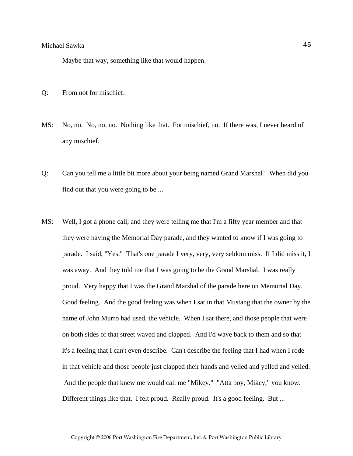Maybe that way, something like that would happen.

- Q: From not for mischief.
- MS: No, no. No, no, no. Nothing like that. For mischief, no. If there was, I never heard of any mischief.
- Q: Can you tell me a little bit more about your being named Grand Marshal? When did you find out that you were going to be ...
- MS: Well, I got a phone call, and they were telling me that I'm a fifty year member and that they were having the Memorial Day parade, and they wanted to know if I was going to parade. I said, "Yes." That's one parade I very, very, very seldom miss. If I did miss it, I was away. And they told me that I was going to be the Grand Marshal. I was really proud. Very happy that I was the Grand Marshal of the parade here on Memorial Day. Good feeling. And the good feeling was when I sat in that Mustang that the owner by the name of John Murro had used, the vehicle. When I sat there, and those people that were on both sides of that street waved and clapped. And I'd wave back to them and so that it's a feeling that I can't even describe. Can't describe the feeling that I had when I rode in that vehicle and those people just clapped their hands and yelled and yelled and yelled. And the people that knew me would call me "Mikey." "Atta boy, Mikey," you know. Different things like that. I felt proud. Really proud. It's a good feeling. But ...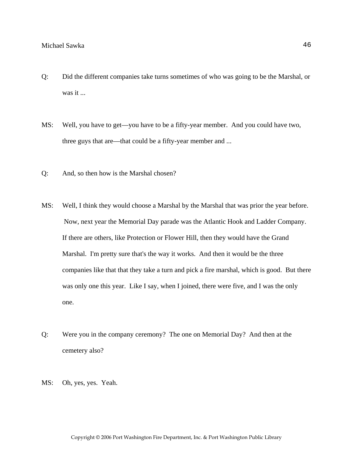- Q: Did the different companies take turns sometimes of who was going to be the Marshal, or was it ...
- MS: Well, you have to get—you have to be a fifty-year member. And you could have two, three guys that are—that could be a fifty-year member and ...
- Q: And, so then how is the Marshal chosen?
- MS: Well, I think they would choose a Marshal by the Marshal that was prior the year before. Now, next year the Memorial Day parade was the Atlantic Hook and Ladder Company. If there are others, like Protection or Flower Hill, then they would have the Grand Marshal. I'm pretty sure that's the way it works. And then it would be the three companies like that that they take a turn and pick a fire marshal, which is good. But there was only one this year. Like I say, when I joined, there were five, and I was the only one.
- Q: Were you in the company ceremony? The one on Memorial Day? And then at the cemetery also?
- MS: Oh, yes, yes. Yeah.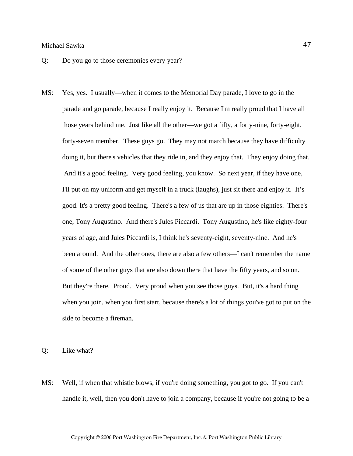- Q: Do you go to those ceremonies every year?
- MS: Yes, yes. I usually—when it comes to the Memorial Day parade, I love to go in the parade and go parade, because I really enjoy it. Because I'm really proud that I have all those years behind me. Just like all the other—we got a fifty, a forty-nine, forty-eight, forty-seven member. These guys go. They may not march because they have difficulty doing it, but there's vehicles that they ride in, and they enjoy that. They enjoy doing that. And it's a good feeling. Very good feeling, you know. So next year, if they have one, I'll put on my uniform and get myself in a truck (laughs), just sit there and enjoy it. It's good. It's a pretty good feeling. There's a few of us that are up in those eighties. There's one, Tony Augustino. And there's Jules Piccardi. Tony Augustino, he's like eighty-four years of age, and Jules Piccardi is, I think he's seventy-eight, seventy-nine. And he's been around. And the other ones, there are also a few others—I can't remember the name of some of the other guys that are also down there that have the fifty years, and so on. But they're there. Proud. Very proud when you see those guys. But, it's a hard thing when you join, when you first start, because there's a lot of things you've got to put on the side to become a fireman.

Q: Like what?

MS: Well, if when that whistle blows, if you're doing something, you got to go. If you can't handle it, well, then you don't have to join a company, because if you're not going to be a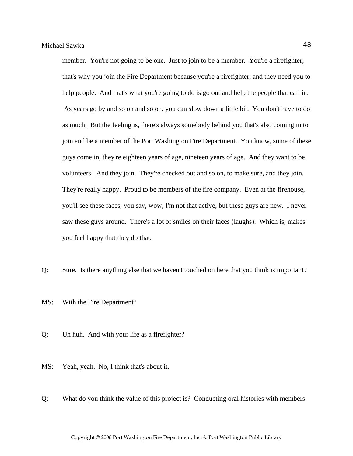member. You're not going to be one. Just to join to be a member. You're a firefighter; that's why you join the Fire Department because you're a firefighter, and they need you to help people. And that's what you're going to do is go out and help the people that call in. As years go by and so on and so on, you can slow down a little bit. You don't have to do as much. But the feeling is, there's always somebody behind you that's also coming in to join and be a member of the Port Washington Fire Department. You know, some of these guys come in, they're eighteen years of age, nineteen years of age. And they want to be volunteers. And they join. They're checked out and so on, to make sure, and they join. They're really happy. Proud to be members of the fire company. Even at the firehouse, you'll see these faces, you say, wow, I'm not that active, but these guys are new. I never saw these guys around. There's a lot of smiles on their faces (laughs). Which is, makes you feel happy that they do that.

- Q: Sure. Is there anything else that we haven't touched on here that you think is important?
- MS: With the Fire Department?
- Q: Uh huh. And with your life as a firefighter?
- MS: Yeah, yeah. No, I think that's about it.
- Q: What do you think the value of this project is? Conducting oral histories with members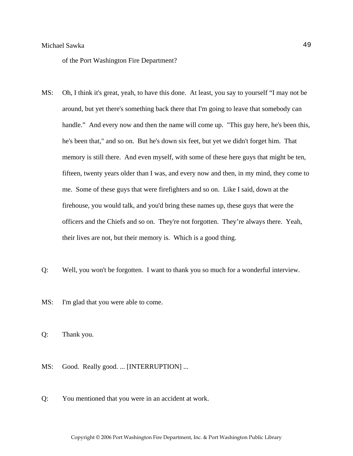of the Port Washington Fire Department?

- MS: Oh, I think it's great, yeah, to have this done. At least, you say to yourself "I may not be around, but yet there's something back there that I'm going to leave that somebody can handle." And every now and then the name will come up. "This guy here, he's been this, he's been that," and so on. But he's down six feet, but yet we didn't forget him. That memory is still there. And even myself, with some of these here guys that might be ten, fifteen, twenty years older than I was, and every now and then, in my mind, they come to me. Some of these guys that were firefighters and so on. Like I said, down at the firehouse, you would talk, and you'd bring these names up, these guys that were the officers and the Chiefs and so on. They're not forgotten. They're always there. Yeah, their lives are not, but their memory is. Which is a good thing.
- Q: Well, you won't be forgotten. I want to thank you so much for a wonderful interview.
- MS: I'm glad that you were able to come.

Q: Thank you.

- MS: Good. Really good. ... [INTERRUPTION] ...
- Q: You mentioned that you were in an accident at work.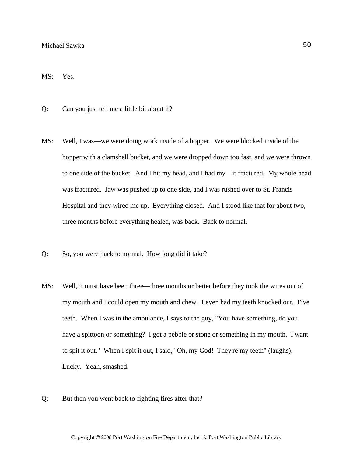# MS: Yes.

- Q: Can you just tell me a little bit about it?
- MS: Well, I was—we were doing work inside of a hopper. We were blocked inside of the hopper with a clamshell bucket, and we were dropped down too fast, and we were thrown to one side of the bucket. And I hit my head, and I had my—it fractured. My whole head was fractured. Jaw was pushed up to one side, and I was rushed over to St. Francis Hospital and they wired me up. Everything closed. And I stood like that for about two, three months before everything healed, was back. Back to normal.
- Q: So, you were back to normal. How long did it take?
- MS: Well, it must have been three—three months or better before they took the wires out of my mouth and I could open my mouth and chew. I even had my teeth knocked out. Five teeth. When I was in the ambulance, I says to the guy, "You have something, do you have a spittoon or something? I got a pebble or stone or something in my mouth. I want to spit it out." When I spit it out, I said, "Oh, my God! They're my teeth" (laughs). Lucky. Yeah, smashed.
- Q: But then you went back to fighting fires after that?